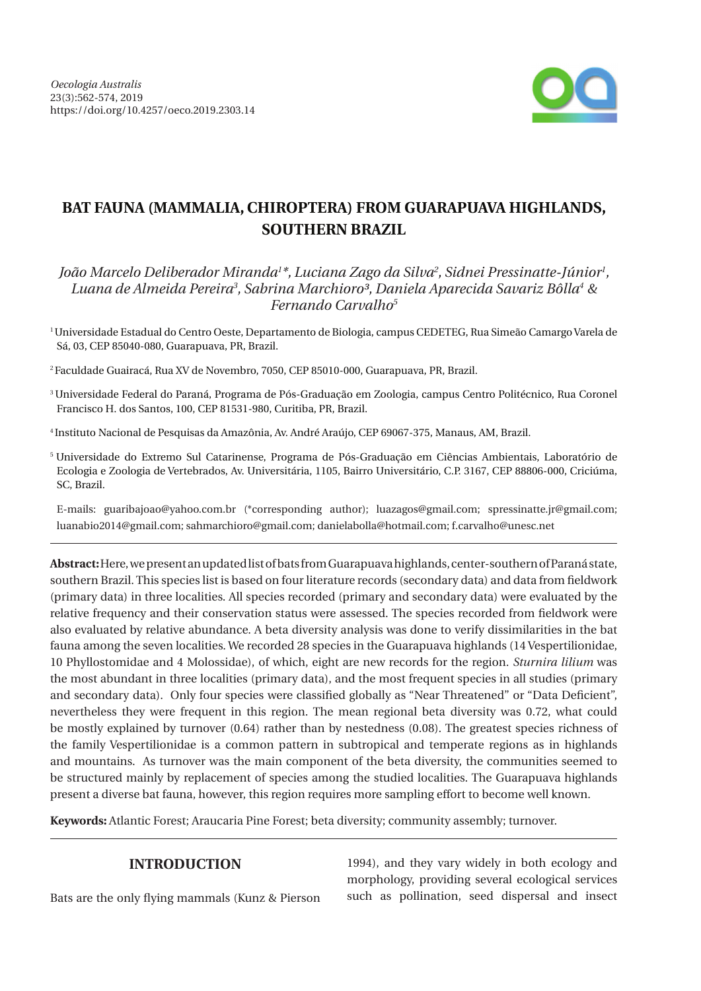

# **BAT FAUNA (MAMMALIA, CHIROPTERA) FROM GUARAPUAVA HIGHLANDS, SOUTHERN BRAZIL**

*João Marcelo Deliberador Miranda1 \*, Luciana Zago da Silva2 , Sidnei Pressinatte-Júnior1 , Luana de Almeida Pereira3 , Sabrina Marchioro³, Daniela Aparecida Savariz Bôlla4 & Fernando Carvalho5*

1 Universidade Estadual do Centro Oeste, Departamento de Biologia, campus CEDETEG, Rua Simeão Camargo Varela de Sá, 03, CEP 85040-080, Guarapuava, PR, Brazil.

2 Faculdade Guairacá, Rua XV de Novembro, 7050, CEP 85010-000, Guarapuava, PR, Brazil.

- 3 Universidade Federal do Paraná, Programa de Pós-Graduação em Zoologia, campus Centro Politécnico, Rua Coronel Francisco H. dos Santos, 100, CEP 81531-980, Curitiba, PR, Brazil.
- 4 Instituto Nacional de Pesquisas da Amazônia, Av. André Araújo, CEP 69067-375, Manaus, AM, Brazil.
- 5 Universidade do Extremo Sul Catarinense, Programa de Pós-Graduação em Ciências Ambientais, Laboratório de Ecologia e Zoologia de Vertebrados, Av. Universitária, 1105, Bairro Universitário, C.P. 3167, CEP 88806-000, Criciúma, SC, Brazil.

E-mails: guaribajoao@yahoo.com.br (\*corresponding author); luazagos@gmail.com; spressinatte.jr@gmail.com; luanabio2014@gmail.com; sahmarchioro@gmail.com; danielabolla@hotmail.com; f.carvalho@unesc.net

**Abstract:** Here, we present an updated list of bats from Guarapuava highlands, center-southern of Paraná state, southern Brazil. This species list is based on four literature records (secondary data) and data from fieldwork (primary data) in three localities. All species recorded (primary and secondary data) were evaluated by the relative frequency and their conservation status were assessed. The species recorded from fieldwork were also evaluated by relative abundance. A beta diversity analysis was done to verify dissimilarities in the bat fauna among the seven localities. We recorded 28 species in the Guarapuava highlands (14 Vespertilionidae, 10 Phyllostomidae and 4 Molossidae), of which, eight are new records for the region. *Sturnira lilium* was the most abundant in three localities (primary data), and the most frequent species in all studies (primary and secondary data). Only four species were classified globally as "Near Threatened" or "Data Deficient", nevertheless they were frequent in this region. The mean regional beta diversity was 0.72, what could be mostly explained by turnover (0.64) rather than by nestedness (0.08). The greatest species richness of the family Vespertilionidae is a common pattern in subtropical and temperate regions as in highlands and mountains. As turnover was the main component of the beta diversity, the communities seemed to be structured mainly by replacement of species among the studied localities. The Guarapuava highlands present a diverse bat fauna, however, this region requires more sampling effort to become well known.

**Keywords:** Atlantic Forest; Araucaria Pine Forest; beta diversity; community assembly; turnover.

# **INTRODUCTION**

Bats are the only flying mammals (Kunz & Pierson

1994), and they vary widely in both ecology and morphology, providing several ecological services such as pollination, seed dispersal and insect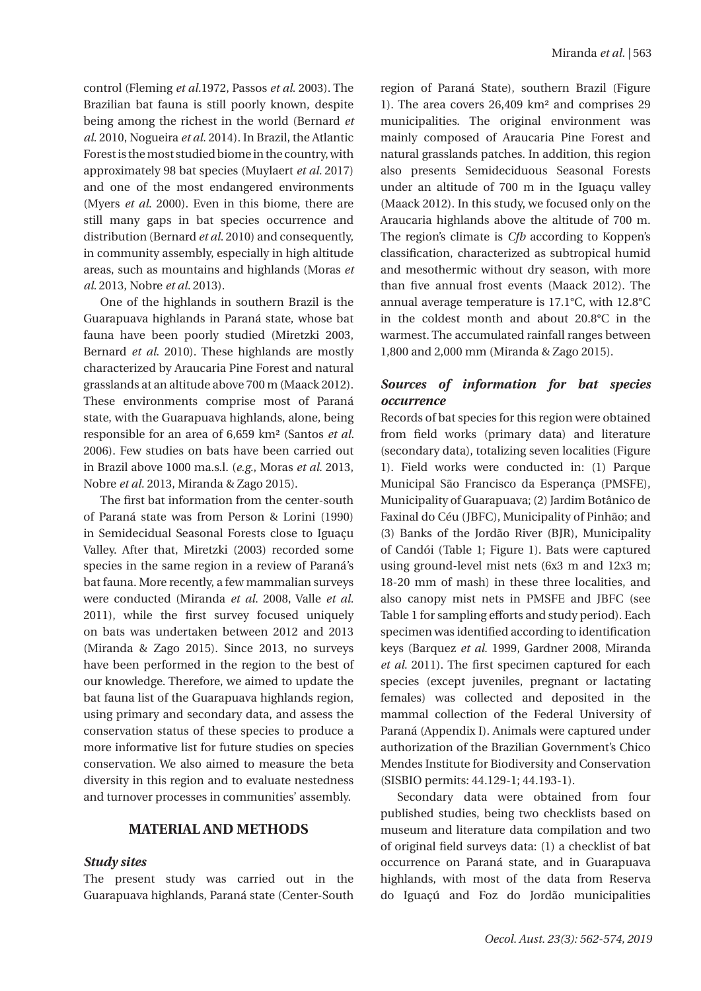control (Fleming *et al.*1972, Passos *et al.* 2003). The Brazilian bat fauna is still poorly known, despite being among the richest in the world (Bernard *et al.* 2010, Nogueira *et al.* 2014). In Brazil, the Atlantic Forest is the most studied biome in the country, with approximately 98 bat species (Muylaert *et al.* 2017) and one of the most endangered environments (Myers *et al*. 2000). Even in this biome, there are still many gaps in bat species occurrence and distribution (Bernard *et al.* 2010) and consequently, in community assembly, especially in high altitude areas, such as mountains and highlands (Moras *et al.* 2013, Nobre *et al.* 2013).

One of the highlands in southern Brazil is the Guarapuava highlands in Paraná state, whose bat fauna have been poorly studied (Miretzki 2003, Bernard *et al.* 2010). These highlands are mostly characterized by Araucaria Pine Forest and natural grasslands at an altitude above 700 m (Maack 2012). These environments comprise most of Paraná state, with the Guarapuava highlands, alone, being responsible for an area of 6,659 km² (Santos *et al.*  2006). Few studies on bats have been carried out in Brazil above 1000 ma.s.l. (*e.g.*, Moras *et al.* 2013, Nobre *et al.* 2013, Miranda & Zago 2015).

The first bat information from the center-south of Paraná state was from Person & Lorini (1990) in Semidecidual Seasonal Forests close to Iguaçu Valley. After that, Miretzki (2003) recorded some species in the same region in a review of Paraná's bat fauna. More recently, a few mammalian surveys were conducted (Miranda *et al.* 2008, Valle *et al.* 2011), while the first survey focused uniquely on bats was undertaken between 2012 and 2013 (Miranda & Zago 2015). Since 2013, no surveys have been performed in the region to the best of our knowledge. Therefore, we aimed to update the bat fauna list of the Guarapuava highlands region, using primary and secondary data, and assess the conservation status of these species to produce a more informative list for future studies on species conservation. We also aimed to measure the beta diversity in this region and to evaluate nestedness and turnover processes in communities' assembly.

### **MATERIAL AND METHODS**

#### *Study sites*

The present study was carried out in the Guarapuava highlands, Paraná state (Center-South region of Paraná State), southern Brazil (Figure 1). The area covers 26,409 km² and comprises 29 municipalities. The original environment was mainly composed of Araucaria Pine Forest and natural grasslands patches. In addition, this region also presents Semideciduous Seasonal Forests under an altitude of 700 m in the Iguaçu valley (Maack 2012). In this study, we focused only on the Araucaria highlands above the altitude of 700 m. The region's climate is *Cfb* according to Koppen's classification, characterized as subtropical humid and mesothermic without dry season, with more than five annual frost events (Maack 2012). The annual average temperature is 17.1°C, with 12.8°C in the coldest month and about 20.8°C in the warmest. The accumulated rainfall ranges between 1,800 and 2,000 mm (Miranda & Zago 2015).

## *Sources of information for bat species occurrence*

Records of bat species for this region were obtained from field works (primary data) and literature (secondary data), totalizing seven localities (Figure 1). Field works were conducted in: (1) Parque Municipal São Francisco da Esperança (PMSFE), Municipality of Guarapuava; (2) Jardim Botânico de Faxinal do Céu (JBFC), Municipality of Pinhão; and (3) Banks of the Jordão River (BJR), Municipality of Candói (Table 1; Figure 1). Bats were captured using ground-level mist nets (6x3 m and 12x3 m; 18-20 mm of mash) in these three localities, and also canopy mist nets in PMSFE and JBFC (see Table 1 for sampling efforts and study period). Each specimen was identified according to identification keys (Barquez *et al.* 1999, Gardner 2008, Miranda *et al.* 2011). The first specimen captured for each species (except juveniles, pregnant or lactating females) was collected and deposited in the mammal collection of the Federal University of Paraná (Appendix I). Animals were captured under authorization of the Brazilian Government's Chico Mendes Institute for Biodiversity and Conservation (SISBIO permits: 44.129-1; 44.193-1).

Secondary data were obtained from four published studies, being two checklists based on museum and literature data compilation and two of original field surveys data: (1) a checklist of bat occurrence on Paraná state, and in Guarapuava highlands, with most of the data from Reserva do Iguaçú and Foz do Jordão municipalities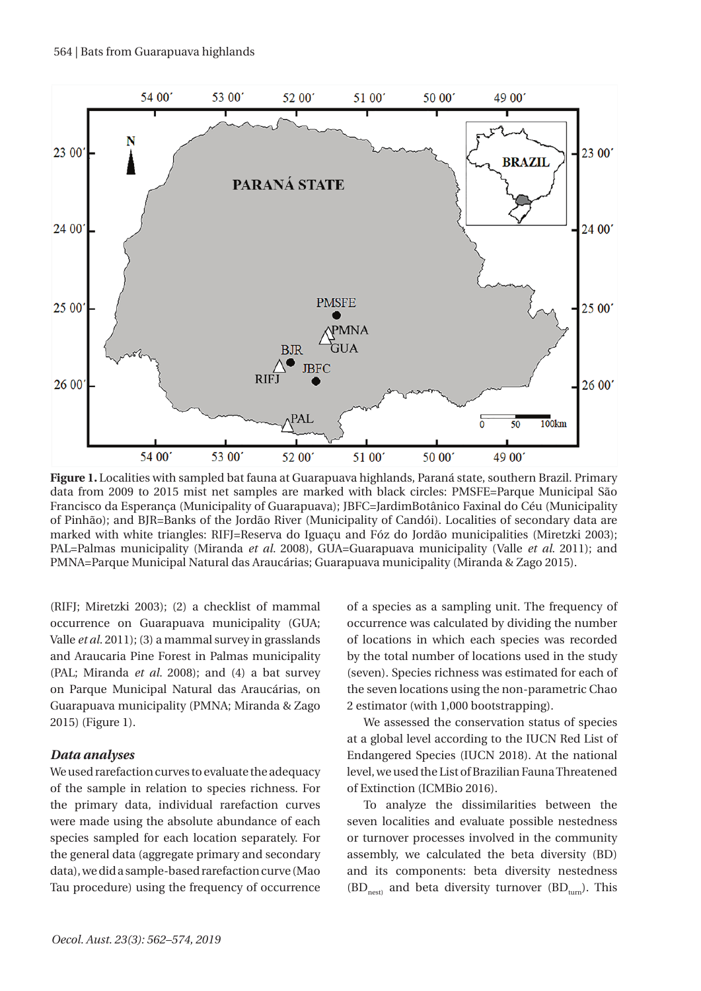

**Figure 1.** Localities with sampled bat fauna at Guarapuava highlands, Paraná state, southern Brazil. Primary data from 2009 to 2015 mist net samples are marked with black circles: PMSFE=Parque Municipal São Francisco da Esperança (Municipality of Guarapuava); JBFC=JardimBotânico Faxinal do Céu (Municipality of Pinhão); and BJR=Banks of the Jordão River (Municipality of Candói). Localities of secondary data are marked with white triangles: RIFJ=Reserva do Iguaçu and Fóz do Jordão municipalities (Miretzki 2003); PAL=Palmas municipality (Miranda *et al.* 2008), GUA=Guarapuava municipality (Valle *et al.* 2011); and PMNA=Parque Municipal Natural das Araucárias; Guarapuava municipality (Miranda & Zago 2015).

(RIFJ; Miretzki 2003); (2) a checklist of mammal occurrence on Guarapuava municipality (GUA; Valle *et al.* 2011); (3) a mammal survey in grasslands and Araucaria Pine Forest in Palmas municipality (PAL; Miranda *et al.* 2008); and (4) a bat survey on Parque Municipal Natural das Araucárias, on Guarapuava municipality (PMNA; Miranda & Zago 2015) (Figure 1).

## *Data analyses*

We used rarefaction curves to evaluate the adequacy of the sample in relation to species richness. For the primary data, individual rarefaction curves were made using the absolute abundance of each species sampled for each location separately. For the general data (aggregate primary and secondary data), we did a sample-based rarefaction curve (Mao Tau procedure) using the frequency of occurrence

of a species as a sampling unit. The frequency of occurrence was calculated by dividing the number of locations in which each species was recorded by the total number of locations used in the study (seven). Species richness was estimated for each of the seven locations using the non-parametric Chao 2 estimator (with 1,000 bootstrapping).

We assessed the conservation status of species at a global level according to the IUCN Red List of Endangered Species (IUCN 2018). At the national level, we used the List of Brazilian Fauna Threatened of Extinction (ICMBio 2016).

To analyze the dissimilarities between the seven localities and evaluate possible nestedness or turnover processes involved in the community assembly, we calculated the beta diversity (BD) and its components: beta diversity nestedness  $(BD<sub>next</sub>)$  and beta diversity turnover  $(BD<sub>turn</sub>)$ . This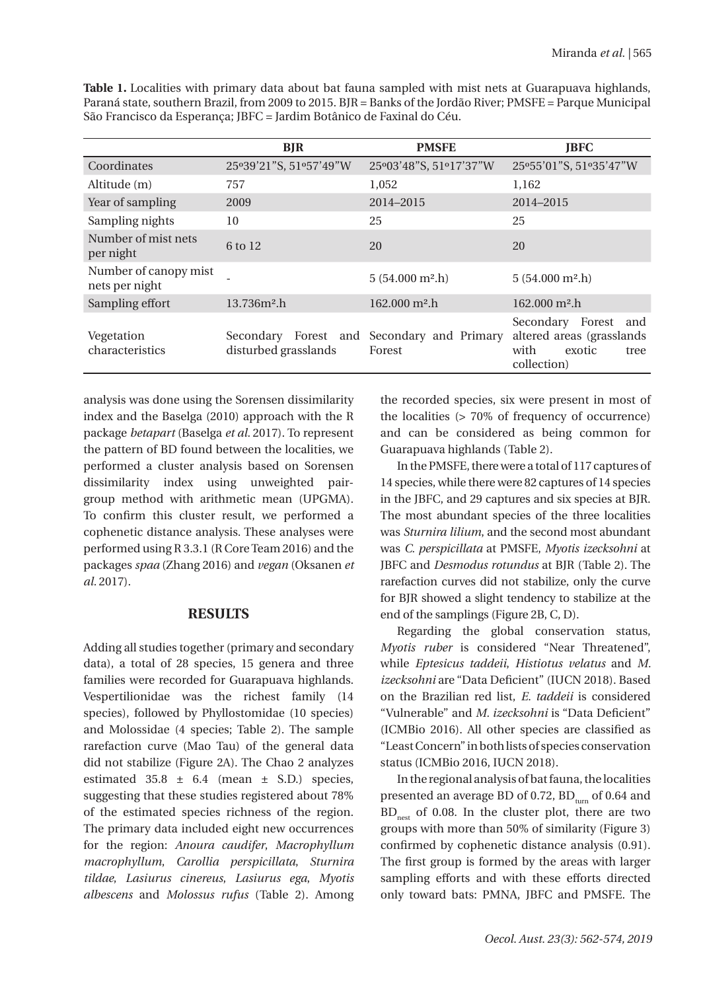|                                         | <b>BJR</b>             | <b>PMSFE</b>                                         | <b>JBFC</b>                                                                                   |
|-----------------------------------------|------------------------|------------------------------------------------------|-----------------------------------------------------------------------------------------------|
| Coordinates                             | 25°39'21"S, 51°57'49"W | 25°03'48"S, 51°17'37"W                               | 25°55'01"S, 51°35'47"W                                                                        |
| Altitude (m)                            | 757                    | 1,052                                                | 1,162                                                                                         |
| Year of sampling                        | 2009                   | 2014-2015                                            | 2014-2015                                                                                     |
| Sampling nights                         | 10                     | 25                                                   | 25                                                                                            |
| Number of mist nets<br>per night        | 6 to 12                | 20                                                   | 20                                                                                            |
| Number of canopy mist<br>nets per night |                        | $5(54.000 \text{ m}^2 \cdot h)$                      | $5(54.000 \text{ m}^2 \cdot h)$                                                               |
| Sampling effort                         | $13.736m2$ .h          | $162.000 \text{ m}^2$ .h                             | $162.000 \text{ m}^2$ .h                                                                      |
| Vegetation<br>characteristics           | disturbed grasslands   | Secondary Forest and Secondary and Primary<br>Forest | Secondary Forest<br>and<br>altered areas (grasslands<br>with<br>exotic<br>tree<br>collection) |

**Table 1.** Localities with primary data about bat fauna sampled with mist nets at Guarapuava highlands, Paraná state, southern Brazil, from 2009 to 2015. BJR = Banks of the Jordão River; PMSFE = Parque Municipal São Francisco da Esperança; JBFC = Jardim Botânico de Faxinal do Céu.

analysis was done using the Sorensen dissimilarity index and the Baselga (2010) approach with the R package *betapart* (Baselga *et al.* 2017). To represent the pattern of BD found between the localities, we performed a cluster analysis based on Sorensen dissimilarity index using unweighted pairgroup method with arithmetic mean (UPGMA). To confirm this cluster result, we performed a cophenetic distance analysis. These analyses were performed using R 3.3.1 (R Core Team 2016) and the packages *spaa* (Zhang 2016) and *vegan* (Oksanen *et al.* 2017).

# **RESULTS**

Adding all studies together (primary and secondary data), a total of 28 species, 15 genera and three families were recorded for Guarapuava highlands. Vespertilionidae was the richest family (14 species), followed by Phyllostomidae (10 species) and Molossidae (4 species; Table 2). The sample rarefaction curve (Mao Tau) of the general data did not stabilize (Figure 2A). The Chao 2 analyzes estimated  $35.8 \pm 6.4$  (mean  $\pm$  S.D.) species, suggesting that these studies registered about 78% of the estimated species richness of the region. The primary data included eight new occurrences for the region: *Anoura caudifer*, *Macrophyllum macrophyllum*, *Carollia perspicillata*, *Sturnira tildae*, *Lasiurus cinereus*, *Lasiurus ega*, *Myotis albescens* and *Molossus rufus* (Table 2). Among

the recorded species, six were present in most of the localities (> 70% of frequency of occurrence) and can be considered as being common for Guarapuava highlands (Table 2).

In the PMSFE, there were a total of 117 captures of 14 species, while there were 82 captures of 14 species in the JBFC, and 29 captures and six species at BJR. The most abundant species of the three localities was *Sturnira lilium*, and the second most abundant was *C. perspicillata* at PMSFE, *Myotis izecksohni* at JBFC and *Desmodus rotundus* at BJR (Table 2). The rarefaction curves did not stabilize, only the curve for BJR showed a slight tendency to stabilize at the end of the samplings (Figure 2B, C, D).

Regarding the global conservation status, *Myotis ruber* is considered "Near Threatened", while *Eptesicus taddeii*, *Histiotus velatus* and *M. izecksohni* are "Data Deficient" (IUCN 2018). Based on the Brazilian red list, *E. taddeii* is considered "Vulnerable" and *M. izecksohni* is "Data Deficient" (ICMBio 2016). All other species are classified as "Least Concern" in both lists of species conservation status (ICMBio 2016, IUCN 2018).

In the regional analysis of bat fauna, the localities presented an average BD of 0.72,  $BD_{turn}$  of 0.64 and  $BD_{\text{net}}$  of 0.08. In the cluster plot, there are two groups with more than 50% of similarity (Figure 3) confirmed by cophenetic distance analysis (0.91). The first group is formed by the areas with larger sampling efforts and with these efforts directed only toward bats: PMNA, JBFC and PMSFE. The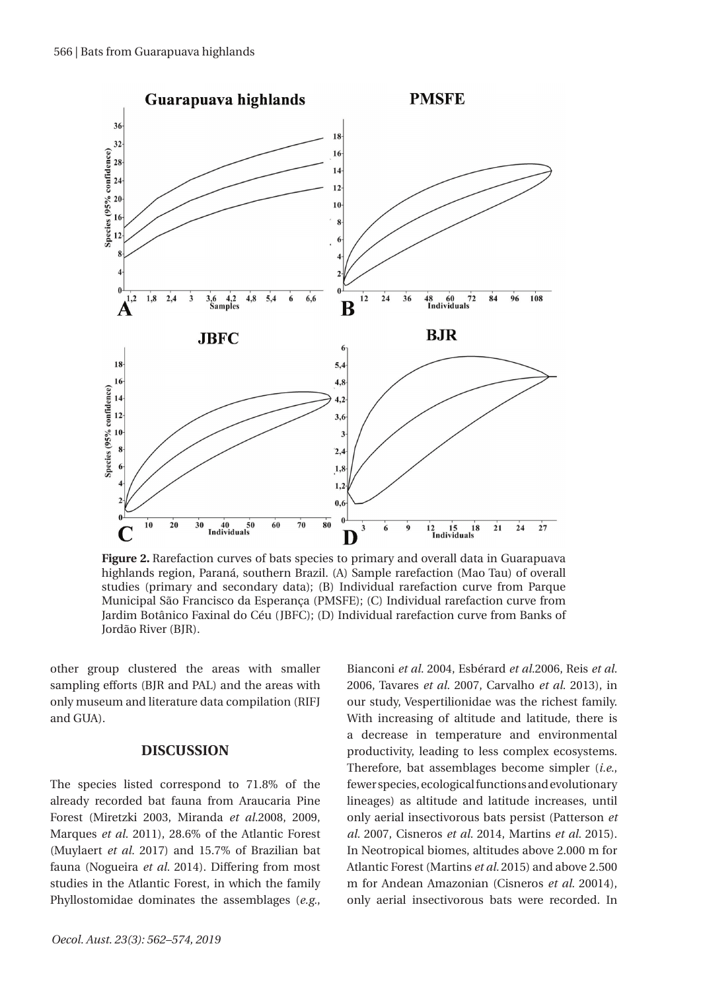

**Figure 2.** Rarefaction curves of bats species to primary and overall data in Guarapuava highlands region, Paraná, southern Brazil. (A) Sample rarefaction (Mao Tau) of overall studies (primary and secondary data); (B) Individual rarefaction curve from Parque Municipal São Francisco da Esperança (PMSFE); (C) Individual rarefaction curve from Jardim Botânico Faxinal do Céu (JBFC); (D) Individual rarefaction curve from Banks of Jordão River (BJR).

other group clustered the areas with smaller sampling efforts (BJR and PAL) and the areas with only museum and literature data compilation (RIFJ and GUA).

#### **DISCUSSION**

The species listed correspond to 71.8% of the already recorded bat fauna from Araucaria Pine Forest (Miretzki 2003, Miranda *et al.*2008, 2009, Marques *et al.* 2011), 28.6% of the Atlantic Forest (Muylaert *et al.* 2017) and 15.7% of Brazilian bat fauna (Nogueira *et al.* 2014). Differing from most studies in the Atlantic Forest, in which the family Phyllostomidae dominates the assemblages (*e.g.*,

Bianconi *et al.* 2004, Esbérard *et al.*2006, Reis *et al.* 2006, Tavares *et al.* 2007, Carvalho *et al.* 2013), in our study, Vespertilionidae was the richest family. With increasing of altitude and latitude, there is a decrease in temperature and environmental productivity, leading to less complex ecosystems. Therefore, bat assemblages become simpler (*i.e.*, fewer species, ecological functions and evolutionary lineages) as altitude and latitude increases, until only aerial insectivorous bats persist (Patterson *et al.* 2007, Cisneros *et al.* 2014, Martins *et al.* 2015). In Neotropical biomes, altitudes above 2.000 m for Atlantic Forest (Martins *et al.* 2015) and above 2.500 m for Andean Amazonian (Cisneros *et al.* 20014), only aerial insectivorous bats were recorded. In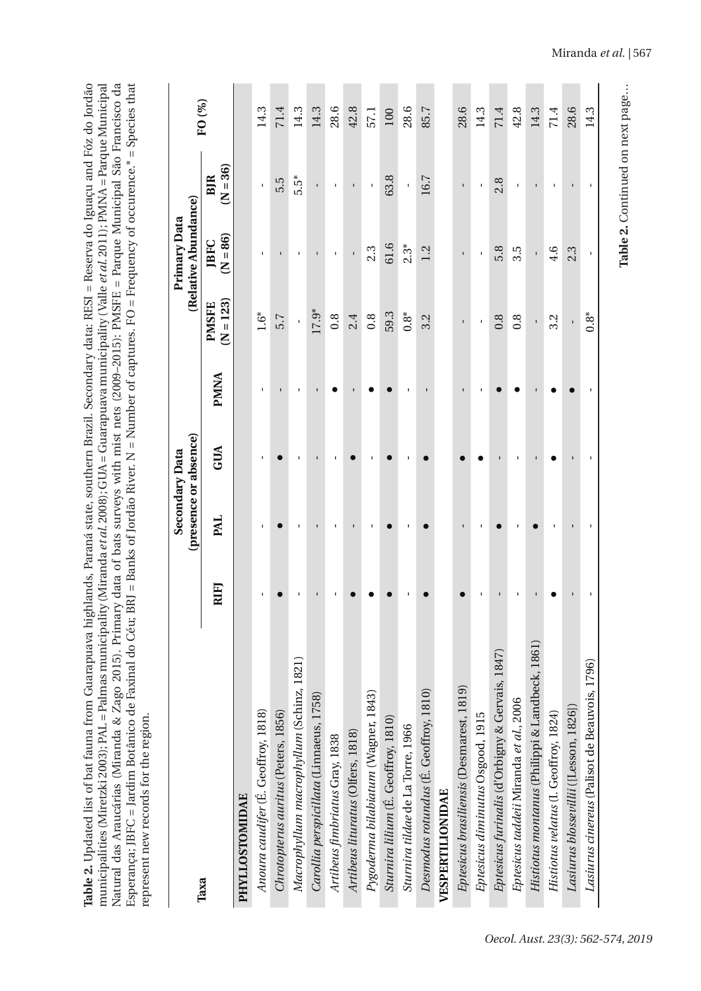| Table 2. Updated list of bat fauna from Guarapuava highlands, Paraná state, southern Brazil. Secondary data: RESI = Reserva do Iguaçu and Fóz do Jordão                   |
|---------------------------------------------------------------------------------------------------------------------------------------------------------------------------|
| municipalities (Miretzki 2003); PAL = Palmas municipality (Miranda <i>et al.</i> 2008); GUA = Guarapuava municipality (Valle <i>et al.</i> 2011); PMNA = Parque Municipal |
| Vatural das Araucárias (Miranda & Zago 2015). Primary data of bats surveys with mist nets (2009–2015): PMSFE = Parque Municipal São Francisco da                          |
| Esperança; JBFC = Jardim Botânico de Faxinal do Céu; BRJ = Banks of Jordão River. N = Number of captures. FO = Frequency of occurence.* = Species that                    |
| represent new records for the region.                                                                                                                                     |
|                                                                                                                                                                           |

|                                                 |      |                | (presence or absence)<br>Secondary Data |             |                             | (Relative Abundance)<br>Primary Data |                          | FO (%) |
|-------------------------------------------------|------|----------------|-----------------------------------------|-------------|-----------------------------|--------------------------------------|--------------------------|--------|
| Taxa                                            | RIFJ | <b>PAL</b>     | GUA                                     | <b>PMNA</b> | $(N = 123)$<br><b>PMSFE</b> | $(N = 86)$<br><b>JBFC</b>            | $(N = 36)$<br><b>BJR</b> |        |
| PHYLLOSTOMIDAE                                  |      |                |                                         |             |                             |                                      |                          |        |
| Anoura caudifer (É. Geoffroy, 1818)             |      |                |                                         |             | $1.6*$                      |                                      |                          | 14.3   |
| Chrotopterus auritus (Peters, 1856)             |      |                |                                         |             | 5.7                         |                                      | 5.5                      | 71.4   |
| Macrophyllum macrophyllum (Schinz, 1821)        |      |                |                                         |             |                             |                                      | 5.5*                     | 14.3   |
| Carollia perspicillata (Linnaeus, 1758)         |      |                |                                         |             | 17.9*                       |                                      |                          | 14.3   |
| Artibeus fimbriatus Gray, 1838                  |      |                |                                         |             | 0.8                         |                                      |                          | 28.6   |
| Artibeus lituratus (Olfers, 1818)               |      |                |                                         |             | 2.4                         | ı                                    | $\blacksquare$           | 42.8   |
| Pygoderma bilabiatum (Wagner, 1843)             |      |                |                                         |             | 0.8                         | 2.3                                  | $\mathbf{I}$             | 57.1   |
| Sturnira lilium (É. Geoffroy, 1810)             |      |                |                                         |             | 59.3                        | 61.6                                 | 63.8                     | 100    |
| Sturnira tildae de La Torre, 1966               |      |                |                                         |             | $0.8^*$                     | $2.3*$                               | $\mathbf{I}$             | 28.6   |
| Desmodus rotundus (E. Geoffroy, 1810)           |      |                |                                         |             | 3.2                         | 1.2                                  | 16.7                     | 85.7   |
| VESPERTILIONIDAE                                |      |                |                                         |             |                             |                                      |                          |        |
| Eptesicus brasiliensis (Desmarest, 1819)        |      |                |                                         |             |                             |                                      |                          | 28.6   |
| Eptesicus diminutus Osgood, 1915                |      |                |                                         |             |                             |                                      |                          | 14.3   |
| Eptesicus furinalis (d'Orbigny & Gervais, 1847) |      |                |                                         |             | 0.8                         | 5.8                                  | 2.8                      | 71.4   |
| Eptesicus taddeii Miranda et al., 2006          |      |                |                                         |             | $0.\overline{8}$            | $3.\overline{5}$                     |                          | 42.8   |
| Histiotus montanus (Philippi & Landbeck, 1861)  |      |                |                                         |             | ï                           | ï                                    | $\blacksquare$           | 14.3   |
| Histiotus velatus (I. Geoffroy, 1824)           |      |                |                                         |             | 3.2                         | $\frac{6}{4}$                        |                          | 71.4   |
| Lasiurus blossevillii ([Lesson, 1826])          |      | $\blacksquare$ |                                         |             | ï                           | 2.3                                  | $\blacksquare$           | 28.6   |
| Lasiurus cinereus (Palisot de Beauvois, 1796)   |      |                |                                         |             | $0.8^*$                     |                                      |                          | 14.3   |
|                                                 |      |                |                                         |             |                             |                                      |                          |        |

Table 2. Continued on next page... **Table 2.** Continued on next page…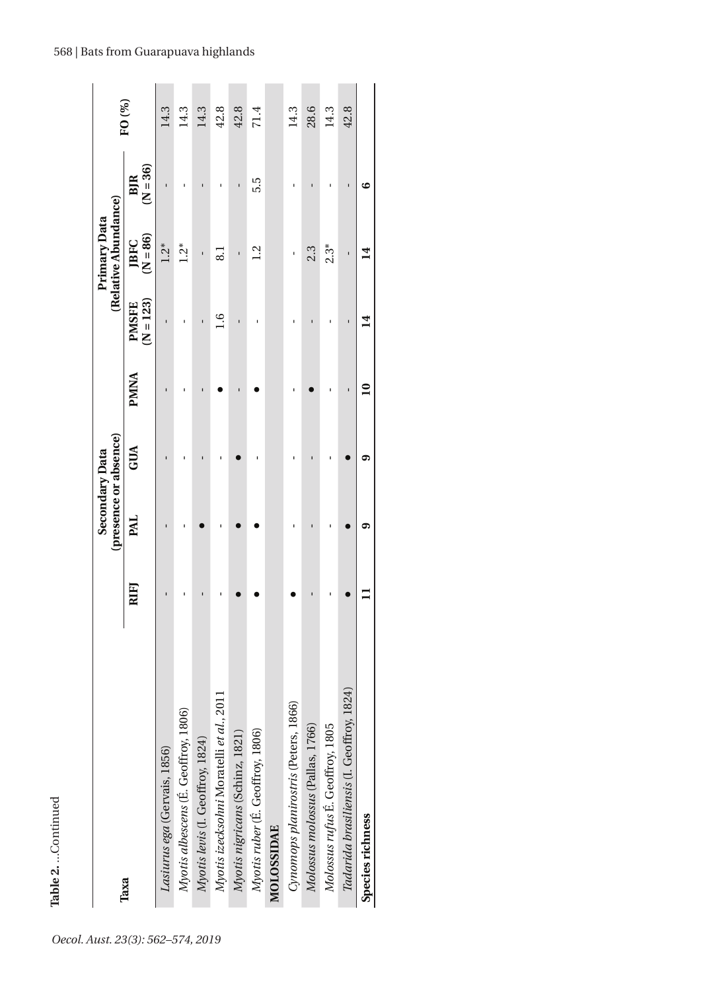|                                           |      |            | (presence or absence)<br>Secondary Data |              |                             | (Relative Abundance)<br>Primary Data |                          |        |
|-------------------------------------------|------|------------|-----------------------------------------|--------------|-----------------------------|--------------------------------------|--------------------------|--------|
| Taxa                                      | RIFJ | <b>PAL</b> | GUA                                     | <b>PMNA</b>  | $(N = 123)$<br><b>PMSFE</b> | $(N = 86)$<br><b>JBFC</b>            | $(N = 36)$<br>BJR        | FO (%) |
| Lasiurus ega (Gervais, 1856)              | ı    |            |                                         |              |                             | $1.2*$                               |                          | 14.3   |
| Myotis albescens (E. Geoffroy, 1806)      |      |            |                                         |              |                             | $\ddot{c}$                           |                          | 14.3   |
| Myotis levis (I. Geoffroy, 1824)          |      |            | ī                                       |              | ı                           | ı                                    |                          | 14.3   |
| Myotis izecksohni Moratelli et al., 2011  |      |            | ٠                                       |              | $\frac{6}{1}$               | $\overline{6}$                       |                          | 42.8   |
| Myotis nigricans (Schinz, 1821)           |      |            |                                         |              | ï                           | $\blacksquare$                       | $\overline{\phantom{a}}$ | 42.8   |
| Myotis ruber (É. Geoffroy, 1806)          |      |            |                                         |              | ı                           | 1.2                                  | 5.5                      | 71.4   |
| MOLOSSIDAE                                |      |            |                                         |              |                             |                                      |                          |        |
| Cynomops planirostris (Peters, 1866)      |      |            |                                         |              |                             |                                      |                          | 14.3   |
| Molossus molossus (Pallas, 1766)          |      |            |                                         |              |                             | 2.3                                  |                          | 28.6   |
| Molossus rufus É. Geoffroy, 1805          |      |            | ï                                       |              | ı                           | $2.3*$                               |                          | 14.3   |
| Tadarida brasiliensis (I. Geoffroy, 1824) |      |            |                                         |              |                             | $\blacksquare$                       |                          | 42.8   |
| Species richness                          |      | ග          | ග                                       | $\mathbf{S}$ | $\mathbf{14}$               | $\overline{\mathbf{1}}$              | అ                        |        |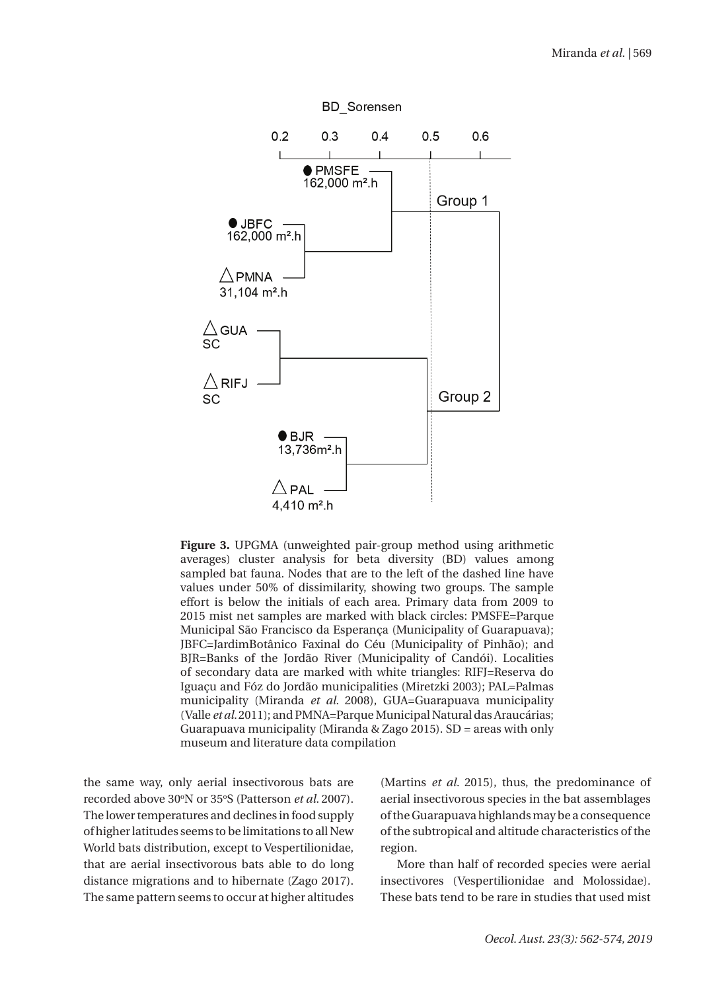

**Figure 3.** UPGMA (unweighted pair-group method using arithmetic averages) cluster analysis for beta diversity (BD) values among sampled bat fauna. Nodes that are to the left of the dashed line have values under 50% of dissimilarity, showing two groups. The sample effort is below the initials of each area. Primary data from 2009 to 2015 mist net samples are marked with black circles: PMSFE=Parque Municipal São Francisco da Esperança (Municipality of Guarapuava); JBFC=JardimBotânico Faxinal do Céu (Municipality of Pinhão); and BJR=Banks of the Jordão River (Municipality of Candói). Localities of secondary data are marked with white triangles: RIFJ=Reserva do Iguaçu and Fóz do Jordão municipalities (Miretzki 2003); PAL=Palmas municipality (Miranda *et al.* 2008), GUA=Guarapuava municipality (Valle *et al.* 2011); and PMNA=Parque Municipal Natural das Araucárias; Guarapuava municipality (Miranda & Zago 2015). SD = areas with only museum and literature data compilation

the same way, only aerial insectivorous bats are recorded above 30°N or 35°S (Patterson *et al.* 2007). The lower temperatures and declines in food supply of higher latitudes seems to be limitations to all New World bats distribution, except to Vespertilionidae, that are aerial insectivorous bats able to do long distance migrations and to hibernate (Zago 2017). The same pattern seems to occur at higher altitudes

(Martins *et al.* 2015), thus, the predominance of aerial insectivorous species in the bat assemblages of the Guarapuava highlands may be a consequence of the subtropical and altitude characteristics of the region.

More than half of recorded species were aerial insectivores (Vespertilionidae and Molossidae). These bats tend to be rare in studies that used mist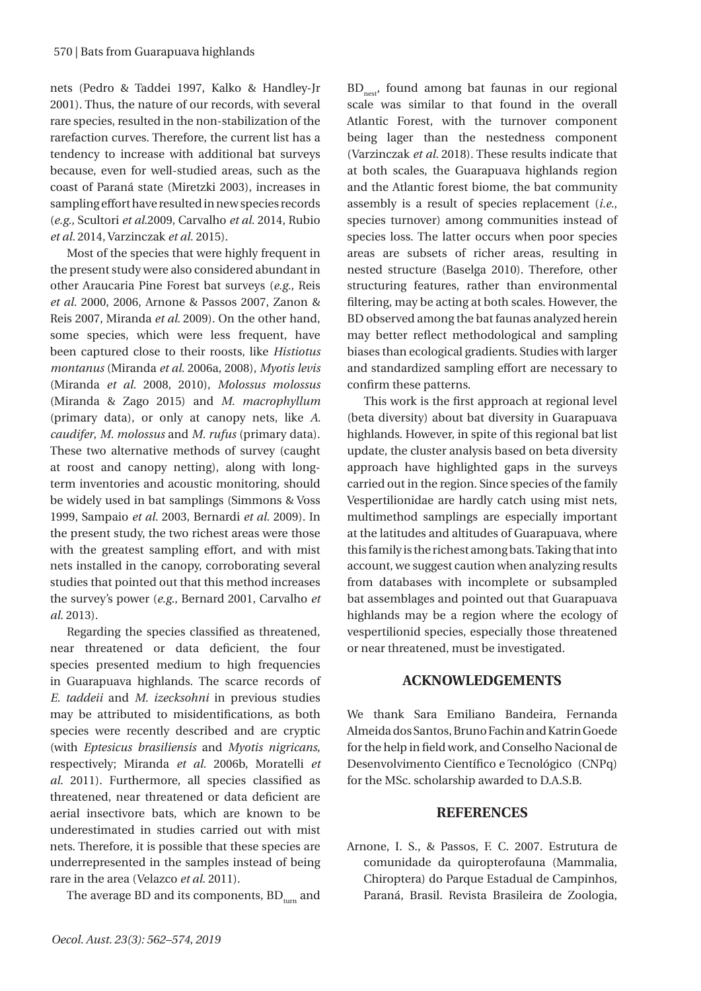nets (Pedro & Taddei 1997, Kalko & Handley-Jr 2001). Thus, the nature of our records, with several rare species, resulted in the non-stabilization of the rarefaction curves. Therefore, the current list has a tendency to increase with additional bat surveys because, even for well-studied areas, such as the coast of Paraná state (Miretzki 2003), increases in sampling effort have resulted in new species records (*e.g.*, Scultori *et al.*2009, Carvalho *et al.* 2014, Rubio *et al.* 2014, Varzinczak *et al.* 2015).

Most of the species that were highly frequent in the present study were also considered abundant in other Araucaria Pine Forest bat surveys (*e.g.*, Reis *et al.* 2000, 2006, Arnone & Passos 2007, Zanon & Reis 2007, Miranda *et al.* 2009). On the other hand, some species, which were less frequent, have been captured close to their roosts, like *Histiotus montanus* (Miranda *et al.* 2006a, 2008), *Myotis levis*  (Miranda *et al.* 2008, 2010), *Molossus molossus*  (Miranda & Zago 2015) and *M. macrophyllum*  (primary data), or only at canopy nets, like *A. caudifer*, *M. molossus* and *M. rufus* (primary data). These two alternative methods of survey (caught at roost and canopy netting), along with longterm inventories and acoustic monitoring, should be widely used in bat samplings (Simmons & Voss 1999, Sampaio *et al.* 2003, Bernardi *et al.* 2009). In the present study, the two richest areas were those with the greatest sampling effort, and with mist nets installed in the canopy, corroborating several studies that pointed out that this method increases the survey's power (*e.g.*, Bernard 2001, Carvalho *et al.* 2013).

Regarding the species classified as threatened, near threatened or data deficient, the four species presented medium to high frequencies in Guarapuava highlands. The scarce records of *E. taddeii* and *M. izecksohni* in previous studies may be attributed to misidentifications, as both species were recently described and are cryptic (with *Eptesicus brasiliensis* and *Myotis nigricans*, respectively; Miranda *et al.* 2006b, Moratelli *et al.* 2011). Furthermore, all species classified as threatened, near threatened or data deficient are aerial insectivore bats, which are known to be underestimated in studies carried out with mist nets. Therefore, it is possible that these species are underrepresented in the samples instead of being rare in the area (Velazco *et al.* 2011).

The average BD and its components,  $BD_{turn}$  and

BD<sub>nest</sub>, found among bat faunas in our regional scale was similar to that found in the overall Atlantic Forest, with the turnover component being lager than the nestedness component (Varzinczak *et al.* 2018). These results indicate that at both scales, the Guarapuava highlands region and the Atlantic forest biome, the bat community assembly is a result of species replacement (*i.e.*, species turnover) among communities instead of species loss. The latter occurs when poor species areas are subsets of richer areas, resulting in nested structure (Baselga 2010). Therefore, other structuring features, rather than environmental filtering, may be acting at both scales. However, the BD observed among the bat faunas analyzed herein may better reflect methodological and sampling biases than ecological gradients. Studies with larger and standardized sampling effort are necessary to confirm these patterns.

This work is the first approach at regional level (beta diversity) about bat diversity in Guarapuava highlands. However, in spite of this regional bat list update, the cluster analysis based on beta diversity approach have highlighted gaps in the surveys carried out in the region. Since species of the family Vespertilionidae are hardly catch using mist nets, multimethod samplings are especially important at the latitudes and altitudes of Guarapuava, where this family is the richest among bats. Taking that into account, we suggest caution when analyzing results from databases with incomplete or subsampled bat assemblages and pointed out that Guarapuava highlands may be a region where the ecology of vespertilionid species, especially those threatened or near threatened, must be investigated.

# **ACKNOWLEDGEMENTS**

We thank Sara Emiliano Bandeira, Fernanda Almeida dos Santos, Bruno Fachin and Katrin Goede for the help in field work, and Conselho Nacional de Desenvolvimento Científico e Tecnológico (CNPq) for the MSc. scholarship awarded to D.A.S.B.

## **REFERENCES**

Arnone, I. S., & Passos, F. C. 2007. Estrutura de comunidade da quiropterofauna (Mammalia, Chiroptera) do Parque Estadual de Campinhos, Paraná, Brasil. Revista Brasileira de Zoologia,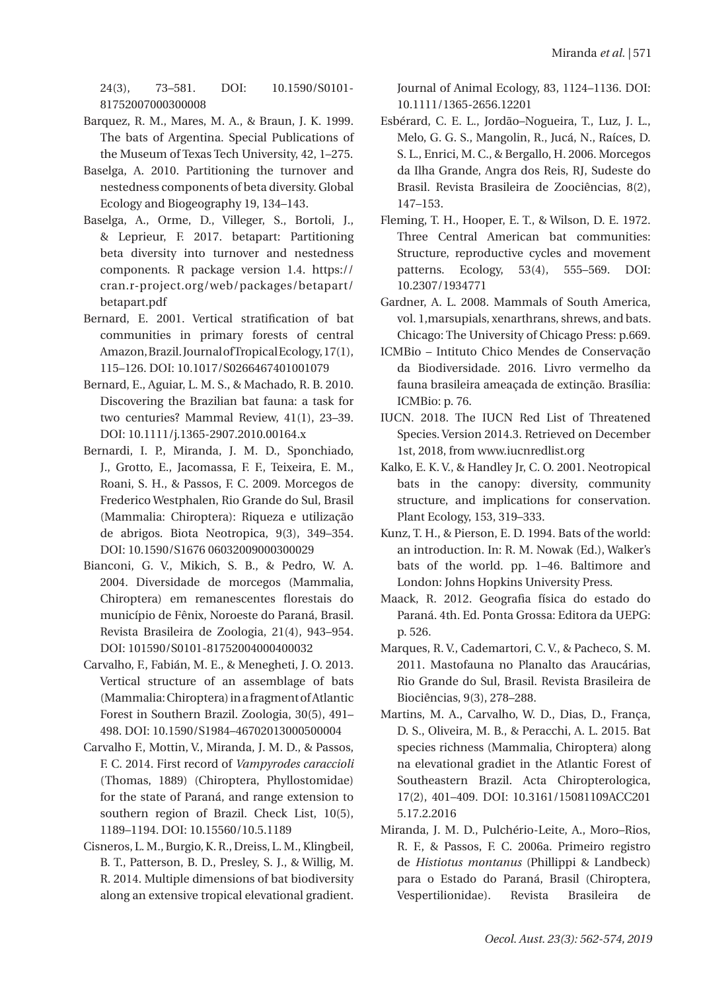24(3), 73–581. DOI: 10.1590/S0101- 81752007000300008

- Barquez, R. M., Mares, M. A., & Braun, J. K. 1999. The bats of Argentina. Special Publications of the Museum of Texas Tech University, 42, 1–275.
- Baselga, A. 2010. Partitioning the turnover and nestedness components of beta diversity. Global Ecology and Biogeography 19, 134–143.
- Baselga, A., Orme, D., Villeger, S., Bortoli, J., & Leprieur, F. 2017. betapart: Partitioning beta diversity into turnover and nestedness components. R package version 1.4. https:// cran.r-project.org/web/packages/betapart/ betapart.pdf
- Bernard, E. 2001. Vertical stratification of bat communities in primary forests of central Amazon, Brazil. Journal of Tropical Ecology, 17(1), 115–126. DOI: 10.1017/S0266467401001079
- Bernard, E., Aguiar, L. M. S., & Machado, R. B. 2010. Discovering the Brazilian bat fauna: a task for two centuries? Mammal Review, 41(1), 23–39. DOI: 10.1111/j.1365-2907.2010.00164.x
- Bernardi, I. P., Miranda, J. M. D., Sponchiado, J., Grotto, E., Jacomassa, F. F., Teixeira, E. M., Roani, S. H., & Passos, F. C. 2009. Morcegos de Frederico Westphalen, Rio Grande do Sul, Brasil (Mammalia: Chiroptera): Riqueza e utilização de abrigos. Biota Neotropica, 9(3), 349–354. DOI: 10.1590/S1676 06032009000300029
- Bianconi, G. V., Mikich, S. B., & Pedro, W. A. 2004. Diversidade de morcegos (Mammalia, Chiroptera) em remanescentes florestais do município de Fênix, Noroeste do Paraná, Brasil. Revista Brasileira de Zoologia, 21(4), 943–954. DOI: 101590/S0101-81752004000400032
- Carvalho, F., Fabián, M. E., & Menegheti, J. O. 2013. Vertical structure of an assemblage of bats (Mammalia: Chiroptera) in a fragment of Atlantic Forest in Southern Brazil. Zoologia, 30(5), 491– 498. DOI: 10.1590/S1984–46702013000500004
- Carvalho F., Mottin, V., Miranda, J. M. D., & Passos, F. C. 2014. First record of *Vampyrodes caraccioli* (Thomas, 1889) (Chiroptera, Phyllostomidae) for the state of Paraná, and range extension to southern region of Brazil. Check List, 10(5), 1189–1194. DOI: 10.15560/10.5.1189
- Cisneros, L. M., Burgio, K. R., Dreiss, L. M., Klingbeil, B. T., Patterson, B. D., Presley, S. J., & Willig, M. R. 2014. Multiple dimensions of bat biodiversity along an extensive tropical elevational gradient.

Journal of Animal Ecology, 83, 1124–1136. DOI: 10.1111/1365-2656.12201

- Esbérard, C. E. L., Jordão–Nogueira, T., Luz, J. L., Melo, G. G. S., Mangolin, R., Jucá, N., Raíces, D. S. L., Enrici, M. C., & Bergallo, H. 2006. Morcegos da Ilha Grande, Angra dos Reis, RJ, Sudeste do Brasil. Revista Brasileira de Zoociências, 8(2), 147–153.
- Fleming, T. H., Hooper, E. T., & Wilson, D. E. 1972. Three Central American bat communities: Structure, reproductive cycles and movement patterns. Ecology, 53(4), 555–569. DOI: 10.2307/1934771
- Gardner, A. L. 2008. Mammals of South America, vol. 1,marsupials, xenarthrans, shrews, and bats*.*  Chicago: The University of Chicago Press: p.669.
- ICMBio Intituto Chico Mendes de Conservação da Biodiversidade. 2016. Livro vermelho da fauna brasileira ameaçada de extinção. Brasília: ICMBio: p. 76.
- IUCN. 2018. The IUCN Red List of Threatened Species. Version 2014.3. Retrieved on December 1st, 2018, from www.iucnredlist.org
- Kalko, E. K. V., & Handley Jr, C. O. 2001. Neotropical bats in the canopy: diversity, community structure, and implications for conservation. Plant Ecology, 153, 319–333.
- Kunz, T. H., & Pierson, E. D. 1994. Bats of the world: an introduction. In: R. M. Nowak (Ed.), Walker's bats of the world. pp. 1–46. Baltimore and London: Johns Hopkins University Press.
- Maack, R. 2012. Geografia física do estado do Paraná. 4th. Ed. Ponta Grossa: Editora da UEPG: p. 526.
- Marques, R. V., Cademartori, C. V., & Pacheco, S. M. 2011. Mastofauna no Planalto das Araucárias, Rio Grande do Sul, Brasil. Revista Brasileira de Biociências, 9(3), 278–288.
- Martins, M. A., Carvalho, W. D., Dias, D., França, D. S., Oliveira, M. B., & Peracchi, A. L. 2015. Bat species richness (Mammalia, Chiroptera) along na elevational gradiet in the Atlantic Forest of Southeastern Brazil. Acta Chiropterologica, 17(2), 401–409. DOI: 10.3161/15081109ACC201 5.17.2.2016
- Miranda, J. M. D., Pulchério-Leite, A., Moro–Rios, R. F., & Passos, F. C. 2006a. Primeiro registro de *Histiotus montanus* (Phillippi & Landbeck) para o Estado do Paraná, Brasil (Chiroptera, Vespertilionidae). Revista Brasileira de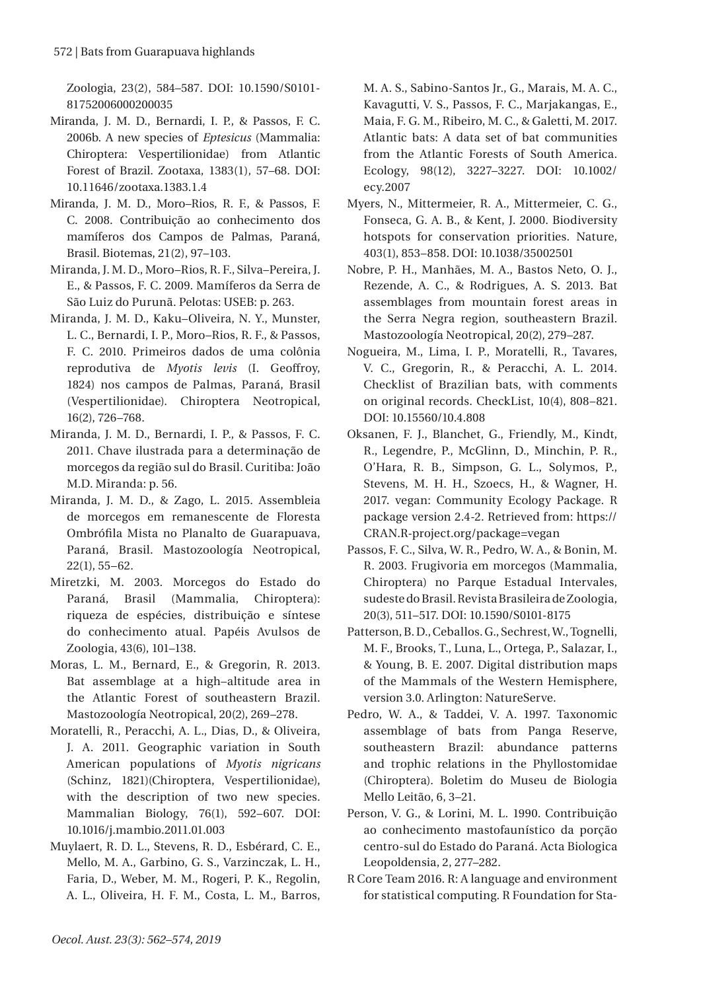Zoologia, 23(2), 584–587. DOI: 10.1590/S0101- 81752006000200035

- Miranda, J. M. D., Bernardi, I. P., & Passos, F. C. 2006b. A new species of *Eptesicus* (Mammalia: Chiroptera: Vespertilionidae) from Atlantic Forest of Brazil. Zootaxa, 1383(1), 57–68. DOI: 10.11646/zootaxa.1383.1.4
- Miranda, J. M. D., Moro–Rios, R. F., & Passos, F. C. 2008. Contribuição ao conhecimento dos mamíferos dos Campos de Palmas, Paraná, Brasil. Biotemas, 21(2), 97–103.
- Miranda, J. M. D., Moro–Rios, R. F., Silva–Pereira, J. E., & Passos, F. C. 2009. Mamíferos da Serra de São Luiz do Purunã. Pelotas: USEB: p. 263.
- Miranda, J. M. D., Kaku–Oliveira, N. Y., Munster, L. C., Bernardi, I. P., Moro–Rios, R. F., & Passos, F. C. 2010. Primeiros dados de uma colônia reprodutiva de *Myotis levis* (I. Geoffroy, 1824) nos campos de Palmas, Paraná, Brasil (Vespertilionidae). Chiroptera Neotropical, 16(2), 726–768.
- Miranda, J. M. D., Bernardi, I. P., & Passos, F. C. 2011. Chave ilustrada para a determinação de morcegos da região sul do Brasil*.* Curitiba: João M.D. Miranda: p. 56.
- Miranda, J. M. D., & Zago, L. 2015. Assembleia de morcegos em remanescente de Floresta Ombrófila Mista no Planalto de Guarapuava, Paraná, Brasil. Mastozoología Neotropical, 22(1), 55–62.
- Miretzki, M. 2003. Morcegos do Estado do Paraná, Brasil (Mammalia, Chiroptera): riqueza de espécies, distribuição e síntese do conhecimento atual. Papéis Avulsos de Zoologia, 43(6), 101–138.
- Moras, L. M., Bernard, E., & Gregorin, R. 2013. Bat assemblage at a high–altitude area in the Atlantic Forest of southeastern Brazil. Mastozoología Neotropical, 20(2), 269–278.
- Moratelli, R., Peracchi, A. L., Dias, D., & Oliveira, J. A. 2011. Geographic variation in South American populations of *Myotis nigricans*  (Schinz, 1821)(Chiroptera, Vespertilionidae), with the description of two new species. Mammalian Biology, 76(1), 592–607. DOI: 10.1016/j.mambio.2011.01.003
- Muylaert, R. D. L., Stevens, R. D., Esbérard, C. E., Mello, M. A., Garbino, G. S., Varzinczak, L. H., Faria, D., Weber, M. M., Rogeri, P. K., Regolin, A. L., Oliveira, H. F. M., Costa, L. M., Barros,

M. A. S., Sabino-Santos Jr., G., Marais, M. A. C., Kavagutti, V. S., Passos, F. C., Marjakangas, E., Maia, F. G. M., Ribeiro, M. C., & Galetti, M. 2017. Atlantic bats: A data set of bat communities from the Atlantic Forests of South America. Ecology, 98(12), 3227–3227. DOI: 10.1002/ ecy.2007

- Myers, N., Mittermeier, R. A., Mittermeier, C. G., Fonseca, G. A. B., & Kent, J. 2000. Biodiversity hotspots for conservation priorities. Nature, 403(1), 853–858. DOI: 10.1038/35002501
- Nobre, P. H., Manhães, M. A., Bastos Neto, O. J., Rezende, A. C., & Rodrigues, A. S. 2013. Bat assemblages from mountain forest areas in the Serra Negra region, southeastern Brazil. Mastozoología Neotropical, 20(2), 279–287.
- Nogueira, M., Lima, I. P., Moratelli, R., Tavares, V. C., Gregorin, R., & Peracchi, A. L. 2014. Checklist of Brazilian bats, with comments on original records. CheckList, 10(4), 808–821. DOI: 10.15560/10.4.808
- Oksanen, F. J., Blanchet, G., Friendly, M., Kindt, R., Legendre, P., McGlinn, D., Minchin, P. R., O'Hara, R. B., Simpson, G. L., Solymos, P., Stevens, M. H. H., Szoecs, H., & Wagner, H. 2017. vegan: Community Ecology Package. R package version 2.4-2. Retrieved from: https:// CRAN.R-project.org/package=vegan
- Passos, F. C., Silva, W. R., Pedro, W. A., & Bonin, M. R. 2003. Frugivoria em morcegos (Mammalia, Chiroptera) no Parque Estadual Intervales, sudeste do Brasil. Revista Brasileira de Zoologia, 20(3), 511–517. DOI: 10.1590/S0101-8175
- Patterson, B. D., Ceballos. G., Sechrest, W., Tognelli, M. F., Brooks, T., Luna, L., Ortega, P., Salazar, I., & Young, B. E. 2007. Digital distribution maps of the Mammals of the Western Hemisphere, version 3.0. Arlington: NatureServe.
- Pedro, W. A., & Taddei, V. A. 1997. Taxonomic assemblage of bats from Panga Reserve, southeastern Brazil: abundance patterns and trophic relations in the Phyllostomidae (Chiroptera). Boletim do Museu de Biologia Mello Leitão, 6, 3–21.
- Person, V. G., & Lorini, M. L. 1990. Contribuição ao conhecimento mastofaunístico da porção centro-sul do Estado do Paraná. Acta Biologica Leopoldensia, 2, 277–282.
- R Core Team 2016. R: A language and environment for statistical computing. R Foundation for Sta-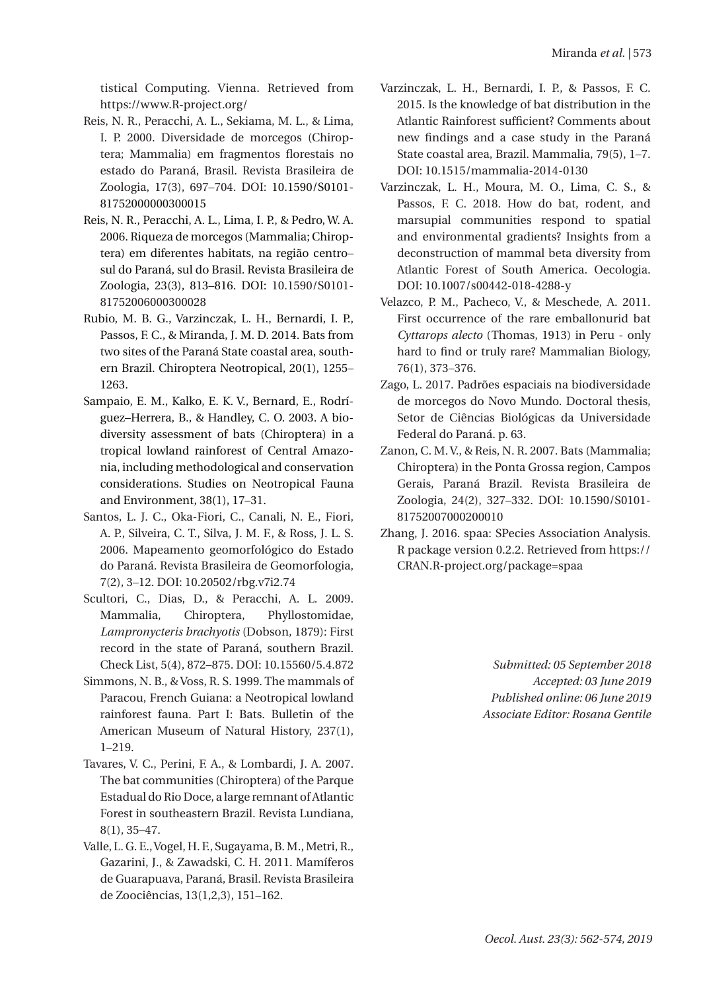tistical Computing. Vienna. Retrieved from https://www.R-project.org/

- Reis, N. R., Peracchi, A. L., Sekiama, M. L., & Lima, I. P. 2000. Diversidade de morcegos (Chiroptera; Mammalia) em fragmentos florestais no estado do Paraná, Brasil. Revista Brasileira de Zoologia, 17(3), 697–704. DOI: 10.1590/S0101- 81752000000300015
- Reis, N. R., Peracchi, A. L., Lima, I. P., & Pedro, W. A. 2006. Riqueza de morcegos (Mammalia; Chiroptera) em diferentes habitats, na região centro– sul do Paraná, sul do Brasil. Revista Brasileira de Zoologia, 23(3), 813–816. DOI: 10.1590/S0101- 81752006000300028
- Rubio, M. B. G., Varzinczak, L. H., Bernardi, I. P., Passos, F. C., & Miranda, J. M. D. 2014. Bats from two sites of the Paraná State coastal area, southern Brazil. Chiroptera Neotropical, 20(1), 1255– 1263.
- Sampaio, E. M., Kalko, E. K. V., Bernard, E., Rodríguez–Herrera, B., & Handley, C. O. 2003. A biodiversity assessment of bats (Chiroptera) in a tropical lowland rainforest of Central Amazonia, including methodological and conservation considerations. Studies on Neotropical Fauna and Environment, 38(1), 17–31.
- Santos, L. J. C., Oka-Fiori, C., Canali, N. E., Fiori, A. P., Silveira, C. T., Silva, J. M. F., & Ross, J. L. S. 2006. Mapeamento geomorfológico do Estado do Paraná. Revista Brasileira de Geomorfologia, 7(2), 3–12. DOI: 10.20502/rbg.v7i2.74
- Scultori, C., Dias, D., & Peracchi, A. L. 2009. Mammalia, Chiroptera, Phyllostomidae, *Lampronycteris brachyotis* (Dobson, 1879): First record in the state of Paraná, southern Brazil. Check List, 5(4), 872–875. DOI: 10.15560/5.4.872
- Simmons, N. B., & Voss, R. S. 1999. The mammals of Paracou, French Guiana: a Neotropical lowland rainforest fauna. Part I: Bats. Bulletin of the American Museum of Natural History, 237(1), 1–219.
- Tavares, V. C., Perini, F. A., & Lombardi, J. A. 2007. The bat communities (Chiroptera) of the Parque Estadual do Rio Doce, a large remnant of Atlantic Forest in southeastern Brazil. Revista Lundiana, 8(1), 35–47.
- Valle, L. G. E., Vogel, H. F., Sugayama, B. M., Metri, R., Gazarini, J., & Zawadski, C. H. 2011. Mamíferos de Guarapuava, Paraná, Brasil. Revista Brasileira de Zoociências, 13(1,2,3), 151–162.
- Varzinczak, L. H., Bernardi, I. P., & Passos, F. C. 2015. Is the knowledge of bat distribution in the Atlantic Rainforest sufficient? Comments about new findings and a case study in the Paraná State coastal area, Brazil. Mammalia, 79(5), 1–7. DOI: 10.1515/mammalia-2014-0130
- Varzinczak, L. H., Moura, M. O., Lima, C. S., & Passos, F. C. 2018. How do bat, rodent, and marsupial communities respond to spatial and environmental gradients? Insights from a deconstruction of mammal beta diversity from Atlantic Forest of South America. Oecologia. DOI: 10.1007/s00442-018-4288-y
- Velazco, P. M., Pacheco, V., & Meschede, A. 2011. First occurrence of the rare emballonurid bat *Cyttarops alecto* (Thomas, 1913) in Peru - only hard to find or truly rare? Mammalian Biology, 76(1), 373–376.
- Zago, L. 2017. Padrões espaciais na biodiversidade de morcegos do Novo Mundo. Doctoral thesis, Setor de Ciências Biológicas da Universidade Federal do Paraná. p. 63.
- Zanon, C. M. V., & Reis, N. R. 2007. Bats (Mammalia; Chiroptera) in the Ponta Grossa region, Campos Gerais, Paraná Brazil. Revista Brasileira de Zoologia, 24(2), 327–332. DOI: 10.1590/S0101- 81752007000200010
- Zhang, J. 2016. spaa: SPecies Association Analysis. R package version 0.2.2. Retrieved from https:// CRAN.R-project.org/package=spaa

*Submitted: 05 September 2018 Accepted: 03 June 2019 Published online: 06 June 2019 Associate Editor: Rosana Gentile*